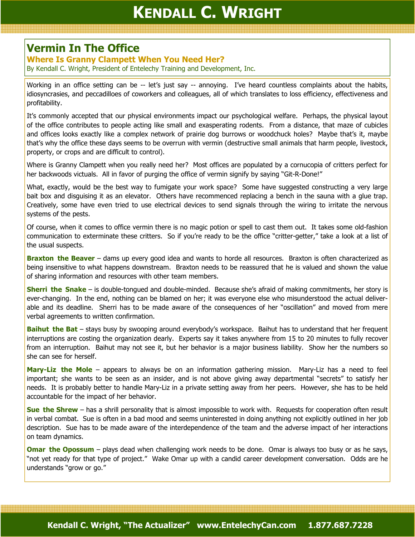## Vermin In The Office

## Where Is Granny Clampett When You Need Her?

By Kendall C. Wright, President of Entelechy Training and Development, Inc.

Working in an office setting can be -- let's just say -- annoying. I've heard countless complaints about the habits, idiosyncrasies, and peccadilloes of coworkers and colleagues, all of which translates to loss efficiency, effectiveness and profitability.

It's commonly accepted that our physical environments impact our psychological welfare. Perhaps, the physical layout of the office contributes to people acting like small and exasperating rodents. From a distance, that maze of cubicles and offices looks exactly like a complex network of prairie dog burrows or woodchuck holes? Maybe that's it, maybe that's why the office these days seems to be overrun with vermin (destructive small animals that harm people, livestock, property, or crops and are difficult to control).

Where is Granny Clampett when you really need her? Most offices are populated by a cornucopia of critters perfect for her backwoods victuals. All in favor of purging the office of vermin signify by saying "Git-R-Done!"

What, exactly, would be the best way to fumigate your work space? Some have suggested constructing a very large bait box and disguising it as an elevator. Others have recommenced replacing a bench in the sauna with a glue trap. Creatively, some have even tried to use electrical devices to send signals through the wiring to irritate the nervous systems of the pests.

Of course, when it comes to office vermin there is no magic potion or spell to cast them out. It takes some old-fashion communication to exterminate these critters. So if you're ready to be the office "critter-getter," take a look at a list of the usual suspects.

**Braxton the Beaver** – dams up every good idea and wants to horde all resources. Braxton is often characterized as being insensitive to what happens downstream. Braxton needs to be reassured that he is valued and shown the value of sharing information and resources with other team members.

**Sherri the Snake** – is double-tongued and double-minded. Because she's afraid of making commitments, her story is ever-changing. In the end, nothing can be blamed on her; it was everyone else who misunderstood the actual deliverable and its deadline. Sherri has to be made aware of the consequences of her "oscillation" and moved from mere verbal agreements to written confirmation.

**Baihut the Bat** – stays busy by swooping around everybody's workspace. Baihut has to understand that her frequent interruptions are costing the organization dearly. Experts say it takes anywhere from 15 to 20 minutes to fully recover from an interruption. Baihut may not see it, but her behavior is a major business liability. Show her the numbers so she can see for herself.

Mary-Liz the Mole – appears to always be on an information gathering mission. Mary-Liz has a need to feel important; she wants to be seen as an insider, and is not above giving away departmental "secrets" to satisfy her needs. It is probably better to handle Mary-Liz in a private setting away from her peers. However, she has to be held accountable for the impact of her behavior.

Sue the Shrew – has a shrill personality that is almost impossible to work with. Requests for cooperation often result in verbal combat. Sue is often in a bad mood and seems uninterested in doing anything not explicitly outlined in her job description. Sue has to be made aware of the interdependence of the team and the adverse impact of her interactions on team dynamics.

**Omar the Opossum** – plays dead when challenging work needs to be done. Omar is always too busy or as he says, "not yet ready for that type of project." Wake Omar up with a candid career development conversation. Odds are he understands "grow or go."